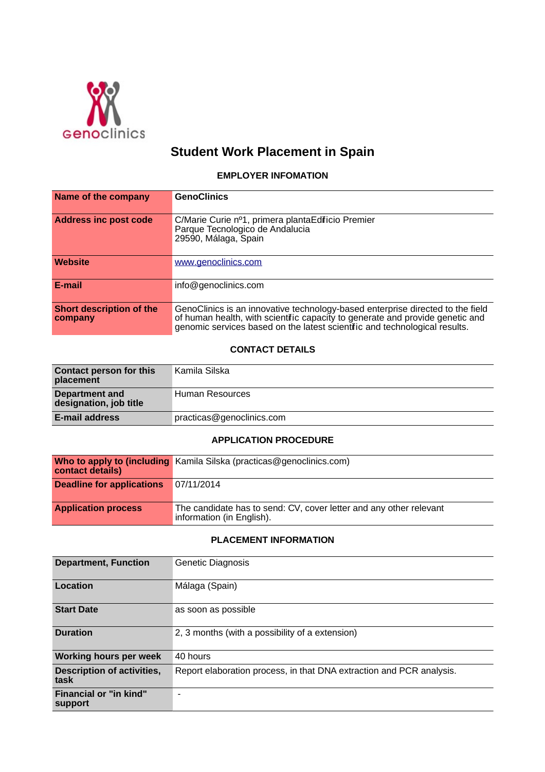

# **Student Work Placement in Spain**

#### **EMPLOYER INFOMATION**

| Name of the company                 | <b>GenoClinics</b>                                                                                                                                                                                                                           |
|-------------------------------------|----------------------------------------------------------------------------------------------------------------------------------------------------------------------------------------------------------------------------------------------|
| <b>Address inc post code</b>        | C/Marie Curie nº1, primera plantaEdificio Premier<br>Parque Tecnologico de Andalucia<br>29590, Málaga, Spain                                                                                                                                 |
| <b>Website</b>                      | www.genoclinics.com                                                                                                                                                                                                                          |
| E-mail                              | info@genoclinics.com                                                                                                                                                                                                                         |
| Short description of the<br>company | GenoClinics is an innovative technology-based enterprise directed to the field<br>of human health, with scientifc capacity to generate and provide genetic and<br>genomic services based on the latest scientific and technological results. |

### **CONTACT DETAILS**

| <b>Contact person for this</b><br>placement | Kamila Silska             |
|---------------------------------------------|---------------------------|
| Department and<br>designation, job title    | Human Resources           |
| E-mail address                              | practicas@genoclinics.com |

#### **APPLICATION PROCEDURE**

| contact details)                 | Who to apply to (including Kamila Silska (practicas@genoclinics.com)                            |
|----------------------------------|-------------------------------------------------------------------------------------------------|
| <b>Deadline for applications</b> | 07/11/2014                                                                                      |
| <b>Application process</b>       | The candidate has to send: CV, cover letter and any other relevant<br>information (in English). |

## **PLACEMENT INFORMATION**

| <b>Department, Function</b>              | Genetic Diagnosis                                                    |
|------------------------------------------|----------------------------------------------------------------------|
| Location                                 | Málaga (Spain)                                                       |
| <b>Start Date</b>                        | as soon as possible                                                  |
| <b>Duration</b>                          | 2, 3 months (with a possibility of a extension)                      |
| <b>Working hours per week</b>            | 40 hours                                                             |
| Description of activities,<br>task       | Report elaboration process, in that DNA extraction and PCR analysis. |
| <b>Financial or "in kind"</b><br>support | $\overline{\phantom{a}}$                                             |